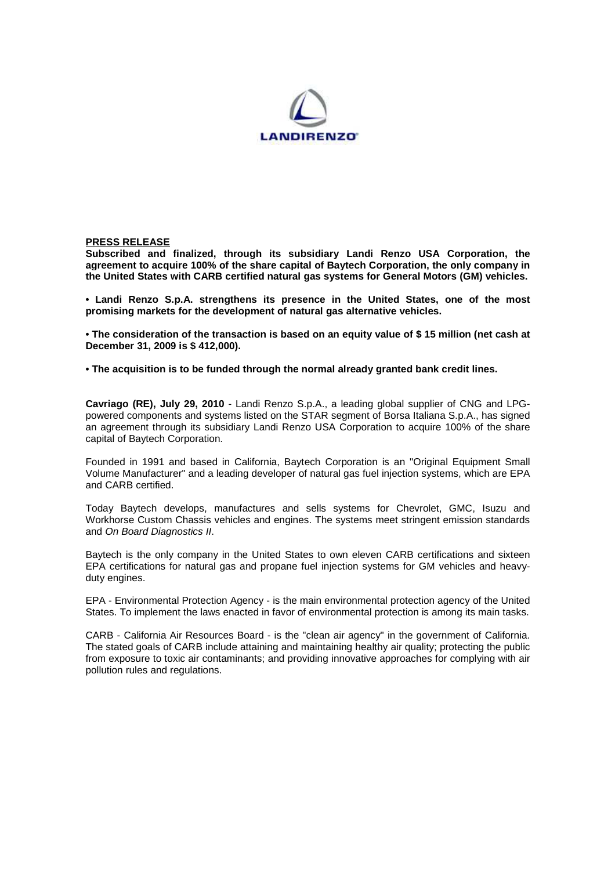

## **PRESS RELEASE**

**Subscribed and finalized, through its subsidiary Landi Renzo USA Corporation, the agreement to acquire 100% of the share capital of Baytech Corporation, the only company in the United States with CARB certified natural gas systems for General Motors (GM) vehicles.** 

**• Landi Renzo S.p.A. strengthens its presence in the United States, one of the most promising markets for the development of natural gas alternative vehicles.** 

**• The consideration of the transaction is based on an equity value of \$ 15 million (net cash at December 31, 2009 is \$ 412,000).** 

**• The acquisition is to be funded through the normal already granted bank credit lines.** 

**Cavriago (RE), July 29, 2010** - Landi Renzo S.p.A., a leading global supplier of CNG and LPGpowered components and systems listed on the STAR segment of Borsa Italiana S.p.A., has signed an agreement through its subsidiary Landi Renzo USA Corporation to acquire 100% of the share capital of Baytech Corporation.

Founded in 1991 and based in California, Baytech Corporation is an "Original Equipment Small Volume Manufacturer" and a leading developer of natural gas fuel injection systems, which are EPA and CARB certified.

Today Baytech develops, manufactures and sells systems for Chevrolet, GMC, Isuzu and Workhorse Custom Chassis vehicles and engines. The systems meet stringent emission standards and On Board Diagnostics II.

Baytech is the only company in the United States to own eleven CARB certifications and sixteen EPA certifications for natural gas and propane fuel injection systems for GM vehicles and heavyduty engines.

EPA - Environmental Protection Agency - is the main environmental protection agency of the United States. To implement the laws enacted in favor of environmental protection is among its main tasks.

CARB - California Air Resources Board - is the "clean air agency" in the government of California. The stated goals of CARB include attaining and maintaining healthy air quality; protecting the public from exposure to toxic air contaminants; and providing innovative approaches for complying with air pollution rules and regulations.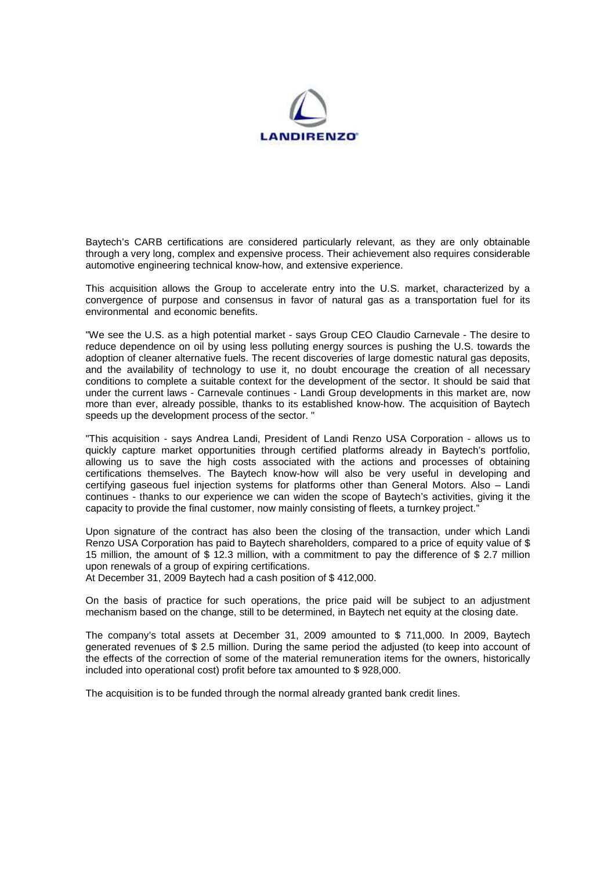

Baytech's CARB certifications are considered particularly relevant, as they are only obtainable through a very long, complex and expensive process. Their achievement also requires considerable automotive engineering technical know-how, and extensive experience.

This acquisition allows the Group to accelerate entry into the U.S. market, characterized by a convergence of purpose and consensus in favor of natural gas as a transportation fuel for its environmental and economic benefits.

"We see the U.S. as a high potential market - says Group CEO Claudio Carnevale - The desire to reduce dependence on oil by using less polluting energy sources is pushing the U.S. towards the adoption of cleaner alternative fuels. The recent discoveries of large domestic natural gas deposits, and the availability of technology to use it, no doubt encourage the creation of all necessary conditions to complete a suitable context for the development of the sector. It should be said that under the current laws - Carnevale continues - Landi Group developments in this market are, now more than ever, already possible, thanks to its established know-how. The acquisition of Baytech speeds up the development process of the sector. "

"This acquisition - says Andrea Landi, President of Landi Renzo USA Corporation - allows us to quickly capture market opportunities through certified platforms already in Baytech's portfolio, allowing us to save the high costs associated with the actions and processes of obtaining certifications themselves. The Baytech know-how will also be very useful in developing and certifying gaseous fuel injection systems for platforms other than General Motors. Also – Landi continues - thanks to our experience we can widen the scope of Baytech's activities, giving it the capacity to provide the final customer, now mainly consisting of fleets, a turnkey project."

Upon signature of the contract has also been the closing of the transaction, under which Landi Renzo USA Corporation has paid to Baytech shareholders, compared to a price of equity value of \$ 15 million, the amount of \$ 12.3 million, with a commitment to pay the difference of \$ 2.7 million upon renewals of a group of expiring certifications.

At December 31, 2009 Baytech had a cash position of \$ 412,000.

On the basis of practice for such operations, the price paid will be subject to an adjustment mechanism based on the change, still to be determined, in Baytech net equity at the closing date.

The company's total assets at December 31, 2009 amounted to \$ 711,000. In 2009, Baytech generated revenues of \$ 2.5 million. During the same period the adjusted (to keep into account of the effects of the correction of some of the material remuneration items for the owners, historically included into operational cost) profit before tax amounted to \$ 928,000.

The acquisition is to be funded through the normal already granted bank credit lines.